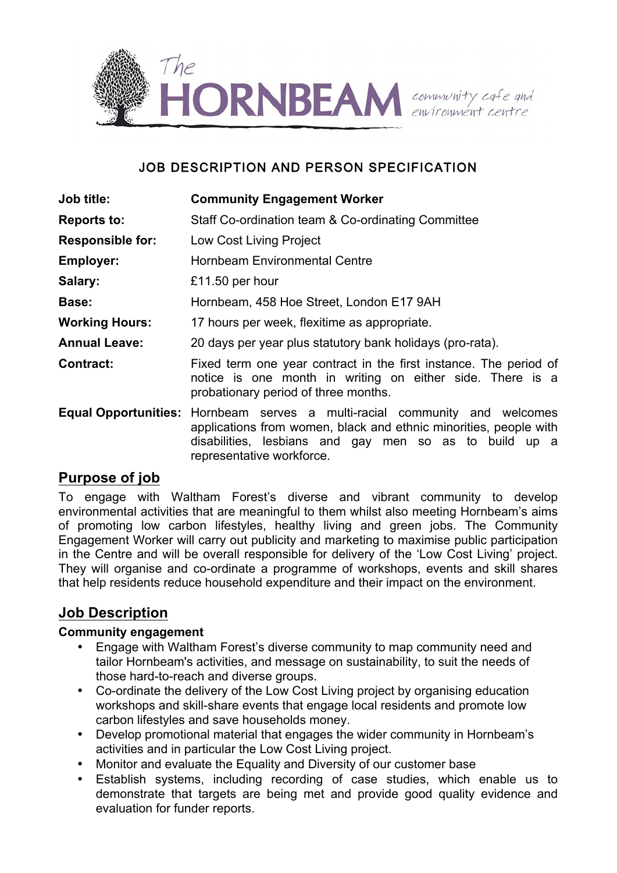

## JOB DESCRIPTION AND PERSON SPECIFICATION

| Job title:              | <b>Community Engagement Worker</b>                                                                                                                                                                                                            |
|-------------------------|-----------------------------------------------------------------------------------------------------------------------------------------------------------------------------------------------------------------------------------------------|
| <b>Reports to:</b>      | Staff Co-ordination team & Co-ordinating Committee                                                                                                                                                                                            |
| <b>Responsible for:</b> | Low Cost Living Project                                                                                                                                                                                                                       |
| <b>Employer:</b>        | <b>Hornbeam Environmental Centre</b>                                                                                                                                                                                                          |
| Salary:                 | £11.50 per hour                                                                                                                                                                                                                               |
| Base:                   | Hornbeam, 458 Hoe Street, London E17 9AH                                                                                                                                                                                                      |
| <b>Working Hours:</b>   | 17 hours per week, flexitime as appropriate.                                                                                                                                                                                                  |
| <b>Annual Leave:</b>    | 20 days per year plus statutory bank holidays (pro-rata).                                                                                                                                                                                     |
| <b>Contract:</b>        | Fixed term one year contract in the first instance. The period of<br>notice is one month in writing on either side. There is a<br>probationary period of three months.                                                                        |
|                         | <b>Equal Opportunities:</b> Hornbeam serves a multi-racial community and welcomes<br>applications from women, black and ethnic minorities, people with<br>disabilities, lesbians and gay men so as to build up a<br>representative workforce. |

# **Purpose of job**

To engage with Waltham Forest's diverse and vibrant community to develop environmental activities that are meaningful to them whilst also meeting Hornbeam's aims of promoting low carbon lifestyles, healthy living and green jobs. The Community Engagement Worker will carry out publicity and marketing to maximise public participation in the Centre and will be overall responsible for delivery of the 'Low Cost Living' project. They will organise and co-ordinate a programme of workshops, events and skill shares that help residents reduce household expenditure and their impact on the environment.

# **Job Description**

#### **Community engagement**

- Engage with Waltham Forest's diverse community to map community need and tailor Hornbeam's activities, and message on sustainability, to suit the needs of those hard-to-reach and diverse groups.
- Co-ordinate the delivery of the Low Cost Living project by organising education workshops and skill-share events that engage local residents and promote low carbon lifestyles and save households money.
- Develop promotional material that engages the wider community in Hornbeam's activities and in particular the Low Cost Living project.
- Monitor and evaluate the Equality and Diversity of our customer base
- Establish systems, including recording of case studies, which enable us to demonstrate that targets are being met and provide good quality evidence and evaluation for funder reports.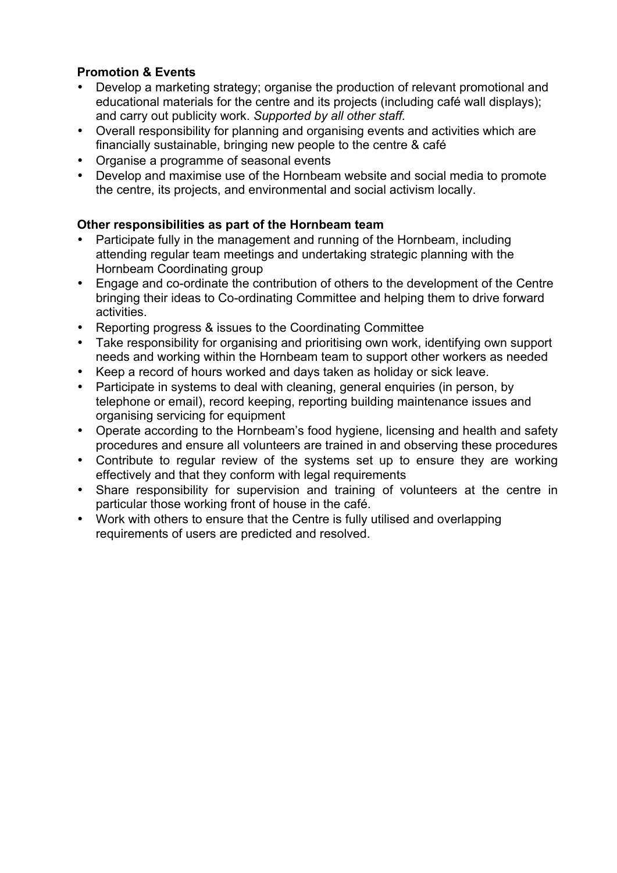## **Promotion & Events**

- Develop a marketing strategy; organise the production of relevant promotional and educational materials for the centre and its projects (including café wall displays); and carry out publicity work. *Supported by all other staff.*
- Overall responsibility for planning and organising events and activities which are financially sustainable, bringing new people to the centre & café
- Organise a programme of seasonal events
- Develop and maximise use of the Hornbeam website and social media to promote the centre, its projects, and environmental and social activism locally.

### **Other responsibilities as part of the Hornbeam team**

- Participate fully in the management and running of the Hornbeam, including attending regular team meetings and undertaking strategic planning with the Hornbeam Coordinating group
- Engage and co-ordinate the contribution of others to the development of the Centre bringing their ideas to Co-ordinating Committee and helping them to drive forward activities.
- Reporting progress & issues to the Coordinating Committee
- Take responsibility for organising and prioritising own work, identifying own support needs and working within the Hornbeam team to support other workers as needed
- Keep a record of hours worked and days taken as holiday or sick leave.
- Participate in systems to deal with cleaning, general enquiries (in person, by telephone or email), record keeping, reporting building maintenance issues and organising servicing for equipment
- Operate according to the Hornbeam's food hygiene, licensing and health and safety procedures and ensure all volunteers are trained in and observing these procedures
- Contribute to regular review of the systems set up to ensure they are working effectively and that they conform with legal requirements
- Share responsibility for supervision and training of volunteers at the centre in particular those working front of house in the café.
- Work with others to ensure that the Centre is fully utilised and overlapping requirements of users are predicted and resolved.